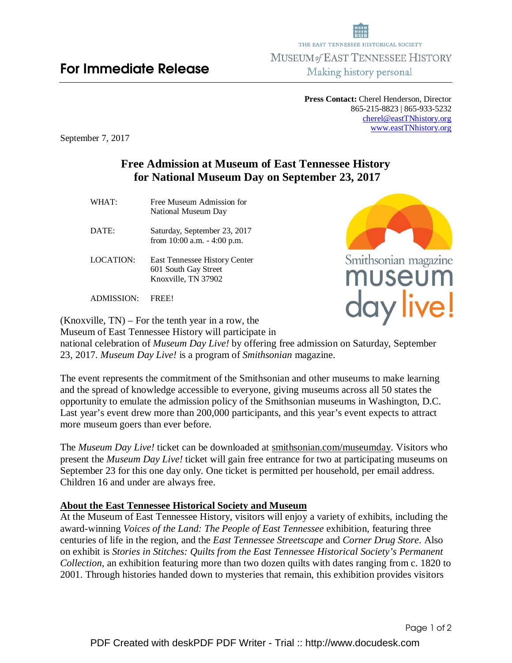**Press Contact:** Cherel Henderson, Director 865-215-8823 | 865-933-5232 cherel@eastTNhistory.org www.eastTNhistory.org

September 7, 2017

## **Free Admission at Museum of East Tennessee History for National Museum Day on September 23, 2017**

- WHAT:Free Museum Admission for National Museum Day
- DATE: Saturday, September 23, 2017 from 10:00 a.m. - 4:00 p.m.
- LOCATION: East Tennessee History Center 601 South Gay Street Knoxville, TN 37902

ADMISSION: FREE!

(Knoxville, TN) – For the tenth year in a row, the Museum of East Tennessee History will participate in

national celebration of *Museum Day Live!* by offering free admission on Saturday, September 23, 2017. *Museum Day Live!* is a program of *Smithsonian* magazine.

The event represents the commitment of the Smithsonian and other museums to make learning and the spread of knowledge accessible to everyone, giving museums across all 50 states the opportunity to emulate the admission policy of the Smithsonian museums in Washington, D.C. Last year's event drew more than 200,000 participants, and this year's event expects to attract more museum goers than ever before.

The *Museum Day Live!* ticket can be downloaded at smithsonian.com/museumday. Visitors who present the *Museum Day Live!* ticket will gain free entrance for two at participating museums on September 23 for this one day only. One ticket is permitted per household, per email address. Children 16 and under are always free.

## **About the East Tennessee Historical Society and Museum**

At the Museum of East Tennessee History, visitors will enjoy a variety of exhibits, including the award-winning *Voices of the Land: The People of East Tennessee* exhibition, featuring three centuries of life in the region, and the *East Tennessee Streetscape* and *Corner Drug Store*. Also on exhibit is *Stories in Stitches: Quilts from the East Tennessee Historical Society's Permanent Collection,* an exhibition featuring more than two dozen quilts with dates ranging from c. 1820 to 2001. Through histories handed down to mysteries that remain, this exhibition provides visitors



day live!